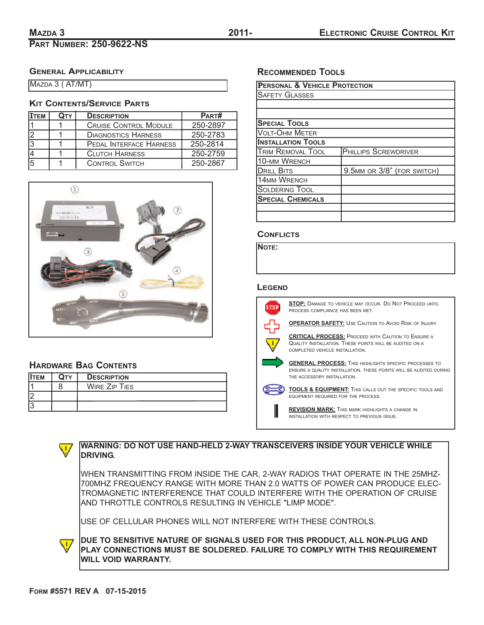# **PART NUMBER: 250-9622-NS**

# **GENERAL APPLICABILITY**

MAZDA 3 ( AT/MT)

## **KIT CONTENTS/SERVICE PARTS**

| Ітем | <b>DESCRIPTION</b>             | PART#    |
|------|--------------------------------|----------|
|      | <b>CRUISE CONTROL MODULE</b>   | 250-2897 |
|      | <b>DIAGNOSTICS HARNESS</b>     | 250-2783 |
|      | <b>PEDAL INTERFACE HARNESS</b> | 250-2814 |
|      | <b>CLUTCH HARNESS</b>          | 250-2759 |
|      | <b>CONTROL SWITCH</b>          | 250-2867 |



# **HARDWARE BAG CONTENTS**

| <b>IITEM</b> | <b>DESCRIPTION</b>   |
|--------------|----------------------|
|              | <b>WIRE ZIP TIES</b> |
|              |                      |
|              |                      |

# **RECOMMENDED TOOLS**

| <b>PERSONAL &amp; VEHICLE PROTECTION</b> |                             |  |  |  |  |
|------------------------------------------|-----------------------------|--|--|--|--|
| <b>SAFETY GLASSES</b>                    |                             |  |  |  |  |
|                                          |                             |  |  |  |  |
|                                          |                             |  |  |  |  |
| <b>SPECIAL TOOLS</b>                     |                             |  |  |  |  |
| Volt-Ohm Meter                           |                             |  |  |  |  |
| <b>INSTALLATION TOOLS</b>                |                             |  |  |  |  |
| <b>TRIM REMOVAL TOOL</b>                 | <b>PHILLIPS SCREWDRIVER</b> |  |  |  |  |
| <b>10-MM WRENCH</b>                      |                             |  |  |  |  |
| <b>DRILL BITS</b>                        | 9.5MM OR 3/8" (FOR SWITCH)  |  |  |  |  |
| <b>14MM WRENCH</b>                       |                             |  |  |  |  |
| <b>SOLDERING TOOL</b>                    |                             |  |  |  |  |
| <b>SPECIAL CHEMICALS</b>                 |                             |  |  |  |  |
|                                          |                             |  |  |  |  |
|                                          |                             |  |  |  |  |

### **CONFLICTS**

**NOTE:**

#### **LEGEND**



**STOP:** DAMAGE TO VEHICLE MAY OCCUR. DO NOT PROCEED UNTIL PROCESS COMPLIANCE HAS BEEN MET.

**OPERATOR SAFETY:** USE CAUTION TO AVOID RISK OF INJURY.

**CRITICAL PROCESS:** PROCEED WITH CAUTION TO ENSURE A QUALITY INSTALLATION. THESE POINTS WILL BE AUDITED ON A COMPLETED VEHICLE INSTALLATION.

**GENERAL PROCESS:** THIS HIGHLIGHTS SPECIFIC PROCESSES TO ENSURE A QUALITY INSTALLATION. THESE POINTS WILL BE AUDITED DURING THE ACCESSORY INSTALLATION.

**TOOLS & EQUIPMENT:** THIS CALLS OUT THE SPECIFIC TOOLS AND EQUIPMENT REQUIRED FOR THE PROCESS.

**REVISION MARK:** THIS MARK HIGHLIGHTS A CHANGE IN INSTALLATION WITH RESPECT TO PREVIOUS ISSUE.

 $\sqrt{1}$ 

## **WARNING: DO NOT USE HAND-HELD 2-WAY TRANSCEIVERS INSIDE YOUR VEHICLE WHILE DRIVING.**

WHEN TRANSMITTING FROM INSIDE THE CAR, 2-WAY RADIOS THAT OPERATE IN THE 25MHZ-700MHZ FREQUENCY RANGE WITH MORE THAN 2.0 WATTS OF POWER CAN PRODUCE ELEC-TROMAGNETIC INTERFERENCE THAT COULD INTERFERE WITH THE OPERATION OF CRUISE AND THROTTLE CONTROLS RESULTING IN VEHICLE "LIMP MODE".

USE OF CELLULAR PHONES WILL NOT INTERFERE WITH THESE CONTROLS.

**DUE TO SENSITIVE NATURE OF SIGNALS USED FOR THIS PRODUCT, ALL NON-PLUG AND PLAY CONNECTIONS MUST BE SOLDERED. FAILURE TO COMPLY WITH THIS REQUIREMENT WILL VOID WARRANTY.**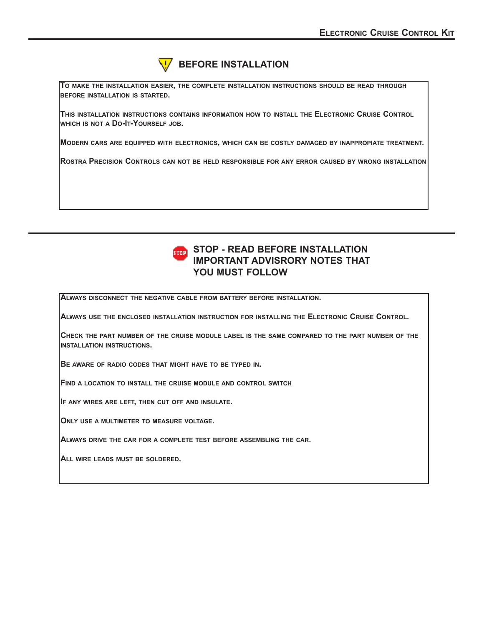

**BEFORE INSTALLATION**

**TO MAKE THE INSTALLATION EASIER, THE COMPLETE INSTALLATION INSTRUCTIONS SHOULD BE READ THROUGH BEFORE INSTALLATION IS STARTED.**

**THIS INSTALLATION INSTRUCTIONS CONTAINS INFORMATION HOW TO INSTALL THE ELECTRONIC CRUISE CONTROL WHICH IS NOT A DO-IT-YOURSELF JOB.**

**MODERN CARS ARE EQUIPPED WITH ELECTRONICS, WHICH CAN BE COSTLY DAMAGED BY INAPPROPIATE TREATMENT.**

**ROSTRA PRECISION CONTROLS CAN NOT BE HELD RESPONSIBLE FOR ANY ERROR CAUSED BY WRONG INSTALLATION**



**ALWAYS DISCONNECT THE NEGATIVE CABLE FROM BATTERY BEFORE INSTALLATION.**

**ALWAYS USE THE ENCLOSED INSTALLATION INSTRUCTION FOR INSTALLING THE ELECTRONIC CRUISE CONTROL.**

**CHECK THE PART NUMBER OF THE CRUISE MODULE LABEL IS THE SAME COMPARED TO THE PART NUMBER OF THE INSTALLATION INSTRUCTIONS.**

**BE AWARE OF RADIO CODES THAT MIGHT HAVE TO BE TYPED IN.**

**FIND A LOCATION TO INSTALL THE CRUISE MODULE AND CONTROL SWITCH**

**IF ANY WIRES ARE LEFT, THEN CUT OFF AND INSULATE.**

**ONLY USE A MULTIMETER TO MEASURE VOLTAGE.**

**ALWAYS DRIVE THE CAR FOR A COMPLETE TEST BEFORE ASSEMBLING THE CAR.**

**ALL WIRE LEADS MUST BE SOLDERED.**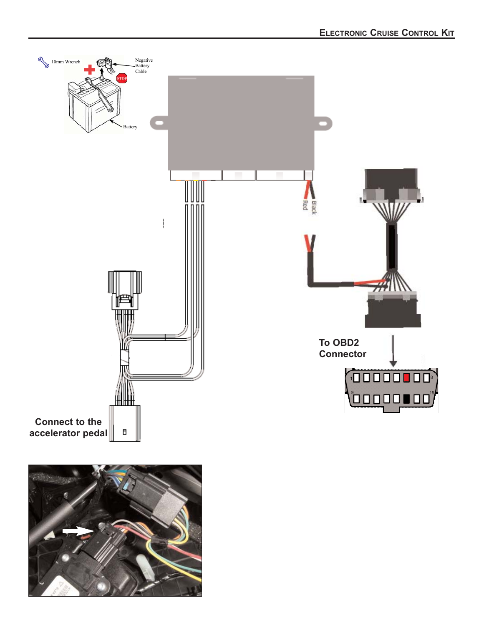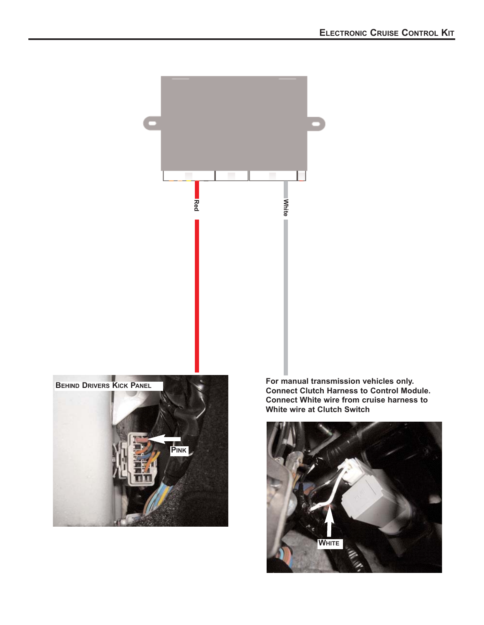

**For manual transmission vehicles only. Connect Clutch Harness to Control Module. Connect White wire from cruise harness to White wire at Clutch Switch**<br> **White wire at Clutch Switch**<br>
White wire at Clutch Switch<br>
White wire at Clutch Switch

L

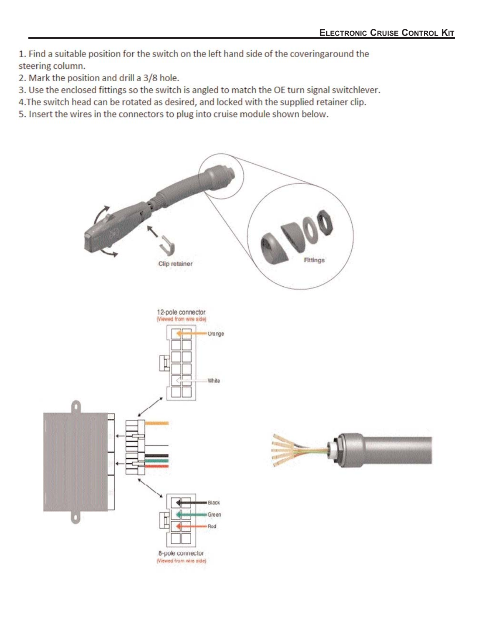1. Find a suitable position for the switch on the left hand side of the coveringaround the steering column.

2. Mark the position and drill a 3/8 hole.

3. Use the enclosed fittings so the switch is angled to match the OE turn signal switchlever.

4. The switch head can be rotated as desired, and locked with the supplied retainer clip.

5. Insert the wires in the connectors to plug into cruise module shown below.

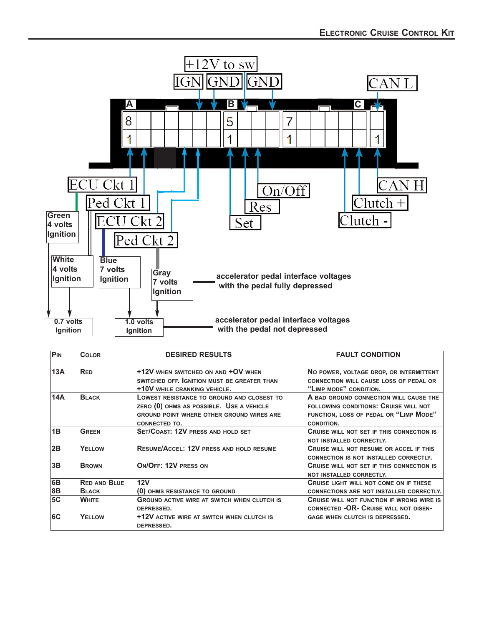

| PIN | <b>COLOR</b>        | <b>DESIRED RESULTS</b>                                                                                                                                      | <b>FAULT CONDITION</b>                                                                                                                  |
|-----|---------------------|-------------------------------------------------------------------------------------------------------------------------------------------------------------|-----------------------------------------------------------------------------------------------------------------------------------------|
| 13A | <b>RED</b>          | +12V WHEN SWITCHED ON AND +OV WHEN<br>SWITCHED OFF. GNITION MUST BE GREATER THAN                                                                            | NO POWER, VOLTAGE DROP, OR INTERMITTENT<br><b>CONNECTION WILL CAUSE LOSS OF PEDAL OR</b>                                                |
|     |                     | +10V WHILE CRANKING VEHICLE.                                                                                                                                | "LIMP MODE" CONDITION.                                                                                                                  |
| 14A | <b>BLACK</b>        | LOWEST RESISTANCE TO GROUND AND CLOSEST TO<br>ZERO (0) OHMS AS POSSIBLE. USE A VEHICLE<br>GROUND POINT WHERE OTHER GROUND WIRES ARE<br><b>CONNECTED TO.</b> | A BAD GROUND CONNECTION WILL CAUSE THE<br>FOLLOWING CONDITIONS: CRUISE WILL NOT<br>FUNCTION, LOSS OF PEDAL OR "LIMP MODE"<br>CONDITION. |
| 1B  | <b>GREEN</b>        | <b>SET/COAST: 12V PRESS AND HOLD SET</b>                                                                                                                    | <b>CRUISE WILL NOT SET IF THIS CONNECTION IS</b><br>NOT INSTALLED CORRECTLY.                                                            |
| 2B  | YELLOW              | <b>RESUME/ACCEL: 12V PRESS AND HOLD RESUME</b>                                                                                                              | <b>CRUISE WILL NOT RESUME OR ACCEL IF THIS</b><br><b>CONNECTION IS NOT INSTALLED CORRECTLY.</b>                                         |
| 3B  | <b>BROWN</b>        | ON/OFF: 12V PRESS ON                                                                                                                                        | CRUISE WILL NOT SET IF THIS CONNECTION IS<br>NOT INSTALLED CORRECTLY.                                                                   |
| 6B  | <b>RED AND BLUE</b> | 12V                                                                                                                                                         | <b>CRUISE LIGHT WILL NOT COME ON IF THESE</b>                                                                                           |
| 8B  | <b>BLACK</b>        | (0) OHMS RESISTANCE TO GROUND                                                                                                                               | CONNECTIONS ARE NOT INSTALLED CORRECTLY.                                                                                                |
| 5C  | <b>WHITE</b>        | <b>GROUND ACTIVE WIRE AT SWITCH WHEN CLUTCH IS</b><br>DEPRESSED.                                                                                            | <b>CRUISE WILL NOT FUNCTION IF WRONG WIRE IS</b><br>CONNECTED -OR- CRUISE WILL NOT DISEN-                                               |
| 6C  | YELLOW              | +12V ACTIVE WIRE AT SWITCH WHEN CLUTCH IS<br>DEPRESSED.                                                                                                     | GAGE WHEN CLUTCH IS DEPRESSED.                                                                                                          |